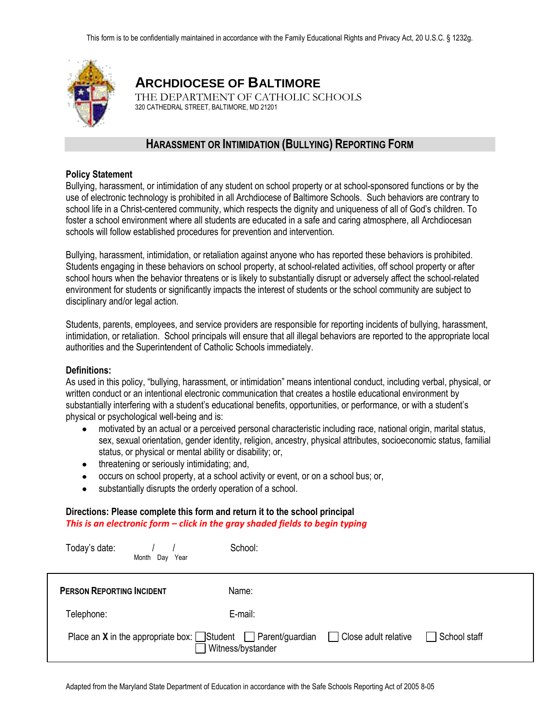

# **ARCHDIOCESE OF BALTIMORE**

THE DEPARTMENT OF CATHOLIC SCHOOLS 320 CATHEDRAL STREET, BALTIMORE, MD 21201

# **HARASSMENT OR INTIMIDATION (BULLYING) REPORTING FORM**

#### **Policy Statement**

Bullying, harassment, or intimidation of any student on school property or at school-sponsored functions or by the use of electronic technology is prohibited in all Archdiocese of Baltimore Schools. Such behaviors are contrary to school life in a Christ-centered community, which respects the dignity and uniqueness of all of God's children. To foster a school environment where all students are educated in a safe and caring atmosphere, all Archdiocesan schools will follow established procedures for prevention and intervention.

Bullying, harassment, intimidation, or retaliation against anyone who has reported these behaviors is prohibited. Students engaging in these behaviors on school property, at school-related activities, off school property or after school hours when the behavior threatens or is likely to substantially disrupt or adversely affect the school-related environment for students or significantly impacts the interest of students or the school community are subject to disciplinary and/or legal action.

Students, parents, employees, and service providers are responsible for reporting incidents of bullying, harassment, intimidation, or retaliation. School principals will ensure that all illegal behaviors are reported to the appropriate local authorities and the Superintendent of Catholic Schools immediately.

#### **Definitions:**

As used in this policy, "bullying, harassment, or intimidation" means intentional conduct, including verbal, physical, or written conduct or an intentional electronic communication that creates a hostile educational environment by substantially interfering with a student's educational benefits, opportunities, or performance, or with a student's physical or psychological well-being and is:

- motivated by an actual or a perceived personal characteristic including race, national origin, marital status, sex, sexual orientation, gender identity, religion, ancestry, physical attributes, socioeconomic status, familial status, or physical or mental ability or disability; or,
- threatening or seriously intimidating; and,
- occurs on school property, at a school activity or event, or on a school bus; or,
- substantially disrupts the orderly operation of a school.  $\bullet$

#### **Directions: Please complete this form and return it to the school principal** *This is an electronic form – click in the gray shaded fields to begin typing*

| Today's date:<br>Month Day Year  | School:                                                                                                                                   |
|----------------------------------|-------------------------------------------------------------------------------------------------------------------------------------------|
| <b>PERSON REPORTING INCIDENT</b> | Name:                                                                                                                                     |
| Telephone:                       | E-mail:                                                                                                                                   |
|                                  | Place an X in the appropriate box: $\Box$ Student $\Box$ Parent/guardian $\Box$ Close adult relative<br>School staff<br>Witness/bystander |